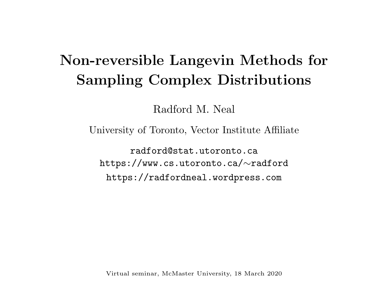# Non-reversible Langevin Methods for Sampling Complex Distributions

Radford M. Neal

University of Toronto, Vector Institute Affiliate

radford@stat.utoronto.ca https://www.cs.utoronto.ca/ ∼radford https://radfordneal.wordpress.com

Virtual seminar, McMaster University, 18 March 2020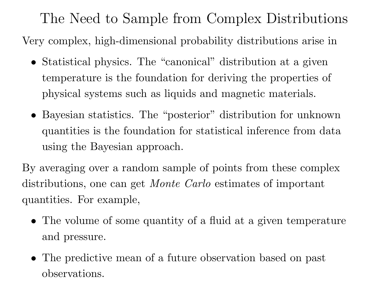The Need to Sample from Complex Distributions

Very complex, high-dimensional probability distributions arise in

- Statistical physics. The "canonical" distribution at a given temperature is the foundation for deriving the properties of physical systems such as liquids and magnetic materials.
- Bayesian statistics. The "posterior" distribution for unknown quantities is the foundation for statistical inference from data using the Bayesian approach.

By averaging over a random sample of points from these complex distributions, one can get *Monte Carlo* estimates of important quantities. For example,

- The volume of some quantity of a fluid at a given temperature and pressure.
- The predictive mean of <sup>a</sup> future observation based on past observations.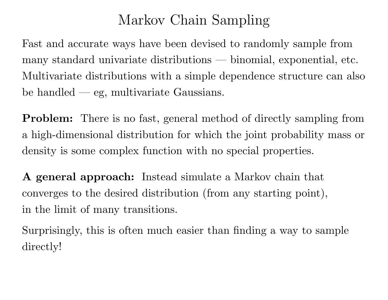# Markov Chain Sampling

Fast and accurate ways have been devised to randomly sample from many standard univariate distributions — binomial, exponential, etc. Multivariate distributions with a simple dependence structure can also be handled — eg, multivariate Gaussians.

**Problem:** There is no fast, general method of directly sampling from <sup>a</sup> high-dimensional distribution for which the joint probability mass or density is some complex function with no special properties.

A general approach: Instead simulate <sup>a</sup> Markov chain that converges to the desired distribution (from any starting point), in the limit of many transitions.

Surprisingly, this is often much easier than finding <sup>a</sup> way to sample directly!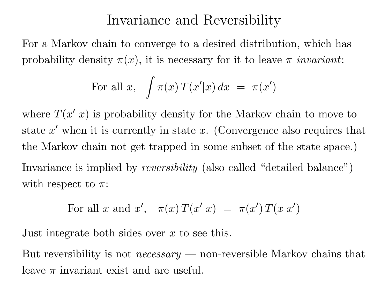#### Invariance and Reversibility

For <sup>a</sup> Markov chain to converge to <sup>a</sup> desired distribution, which has probability density  $\pi(x)$ , it is necessary for it to leave  $\pi$  invariant:

For all x, 
$$
\int \pi(x) T(x'|x) dx = \pi(x')
$$

where  $T(x'|x)$  is probability density for the Markov chain to move to state  $x'$  when it is currently in state  $x$ . (Convergence also requires that the Markov chain not get trapped in some subset of the state space.) Invariance is implied by *reversibility* (also called "detailed balance")

with respect to  $\pi$ :

For all x and x', 
$$
\pi(x) T(x'|x) = \pi(x') T(x|x')
$$

Just integrate both sides over  $x$  to see this.

But reversibility is not *necessary* — non-reversible Markov chains that leave  $\pi$  invariant exist and are useful.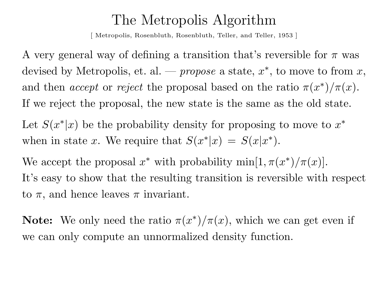#### The Metropolis Algorithm

[Metropolis, Rosenbluth, Rosenbluth, Teller, and Teller, 1953]

A very general way of defining a transition that's reversible for  $\pi$  was devised by Metropolis, et. al. — *propose* a state,  $x^*$ , to move to from  $x$ , and then *accept* or *reject* the proposal based on the ratio  $\pi(x^*)/\pi(x)$ . If we reject the proposal, the new state is the same as the old state. Let  $S(x^*|x)$  be the probability density for proposing to move to  $x^*$ 

when in state x. We require that  $S(x^*|x) = S(x|x^*)$ .

We accept the proposal  $x^*$  with probability  $\min[1, \pi(x^*)/\pi(x)].$ It's easy to show that the resulting transition is reversible with respect to  $\pi$ , and hence leaves  $\pi$  invariant.

**Note:** We only need the ratio  $\pi(x^*)/\pi(x)$ , which we can get even if we can only compute an unnormalized density function.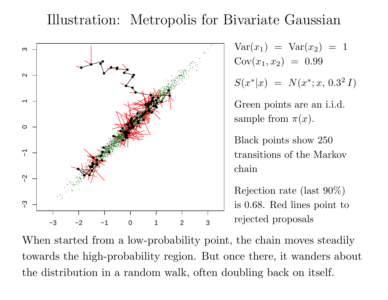### Illustration: Metropolis for Bivariate Gaussian



$$
Var(x_1) = Var(x_2) = 1
$$
  
\n
$$
Cov(x_1, x_2) = 0.99
$$
  
\n
$$
S(x^*|x) = N(x^*; x, 0.3^2 I)
$$
  
\nGreen points are an i.i.d.  
\nsample from  $\pi(x)$ .

Black points show 250 transitions of the Markov chain

Rejection rate (last 90%) is 0.68. Red lines point to rejected proposals

When started from a low-probability point, the chain moves steadily towards the high-probability region. But once there, it wanders about the distribution in a random walk, often doubling back on itself.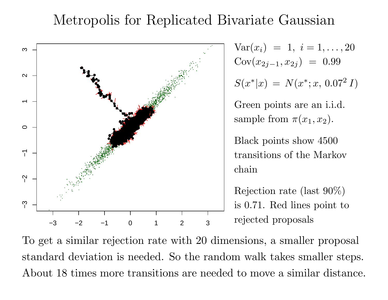### Metropolis for Replicated Bivariate Gaussian



$$
Var(x_i) = 1, i = 1,..., 20
$$
  
\n
$$
Cov(x_{2j-1}, x_{2j}) = 0.99
$$
  
\n
$$
S(x^*|x) = N(x^*; x, 0.07^2 I)
$$
  
\nGreen points are an i.i.d.

sample from  $\pi(x_1, x_2)$ .

Black points show 4500 transitions of the Markov chain

Rejection rate (last 90%) is 0.71. Red lines point to rejected proposals

To get <sup>a</sup> similar rejection rate with 20 dimensions, <sup>a</sup> smaller proposal standard deviation is needed. So the random walk takes smaller steps. About 18 times more transitions are needed to move a similar distance.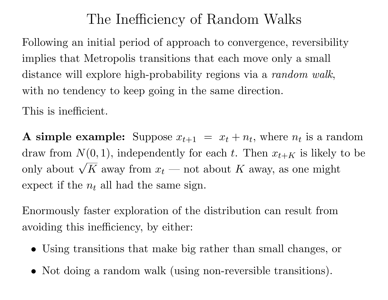# The Inefficiency of Random Walks

Following an initial period of approach to convergence, reversibility implies that Metropolis transitions that each move only <sup>a</sup> small distance will explore high-probability regions via a *random walk*, with no tendency to keep going in the same direction.

This is inefficient.

**A simple example:** Suppose  $x_{t+1}$  $= x_t + n_t$ , where  $n_t$  is a random draw from  $N(0, 1)$ , independently for each t. Then  $x_{t+K}$  is likely to be only about  $\sqrt{K}$  away from  $x_t$  — not about K away, as one might expect if the  $n_t$  all had the same sign.

Enormously faster exploration of the distribution can result from avoiding this inefficiency, by either:

- Using transitions that make big rather than small changes, or
- Not doing a random walk (using non-reversible transitions).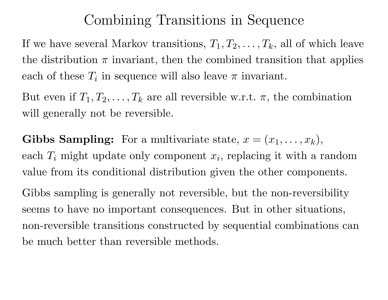### Combining Transitions in Sequence

If we have several Markov transitions,  $T_1, T_2, \ldots, T_k$ , all of which leave the distribution  $\pi$  invariant, then the combined transition that applies each of these  $T_i$  in sequence will also leave  $\pi$  invariant.

But even if  $T_1, T_2, \ldots, T_k$  are all reversible w.r.t.  $\pi$ , the combination will generally not be reversible.

Gibbs Sampling: For a multivariate state,  $x = (x_1, \ldots, x_k)$ , each  $T_i$  might update only component  $x_i$ , replacing it with a random value from its conditional distribution given the other components.

Gibbs sampling is generally not reversible, but the non-reversibility seems to have no important consequences. But in other situations, non-reversible transitions constructed by sequential combinations can be much better than reversible methods.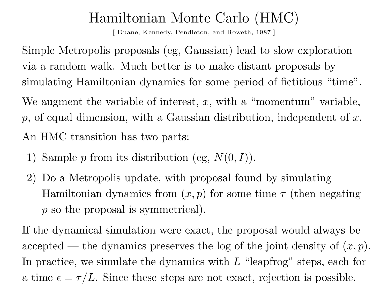# Hamiltonian Monte Carlo (HMC)

[ Duane, Kennedy, Pendleton, and Roweth, <sup>1987</sup> ]

Simple Metropolis proposals (eg, Gaussian) lead to slow exploration via a random walk. Much better is to make distant proposals by simulating Hamiltonian dynamics for some period of fictitious "time". We augment the variable of interest,  $x$ , with a "momentum" variable,  $p$ , of equal dimension, with a Gaussian distribution, independent of  $x$ . An HMC transition has two parts:

- 1) Sample  $p$  from its distribution (eg,  $N(0,I)$ ).
- 2) Do a Metropolis update, with proposa<sup>l</sup> found by simulating Hamiltonian dynamics from  $(x, p)$  for some time  $\tau$  (then negating p so the proposal is symmetrical).

If the dynamical simulation were exact, the proposal would always be accepted — the dynamics preserves the log of the joint density of  $(x, p)$ . In practice, we simulate the dynamics with  $L$  "leapfrog" steps, each for a time  $\epsilon = \tau/L$ . Since these steps are not exact, rejection is possible.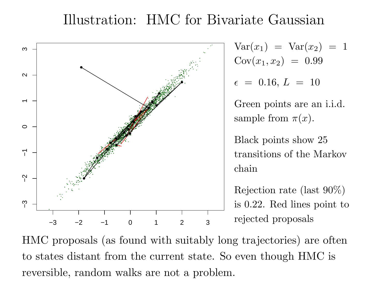#### Illustration: HMC for Bivariate Gaussian



$$
Var(x_1) = Var(x_2) = 1
$$
  
 
$$
Cov(x_1, x_2) = 0.99
$$

$$
\epsilon~=~0.16,~L~=~10
$$

Green points are an i.i.d. sample from  $\pi(x)$ .

Black points show 25 transitions of the Markov chain

Rejection rate (last 90%) is 0.22. Red lines point to rejected proposals

HMC proposals (as found with suitably long trajectories) are often to states distant from the current state. So even though HMC is reversible, random walks are not a problem.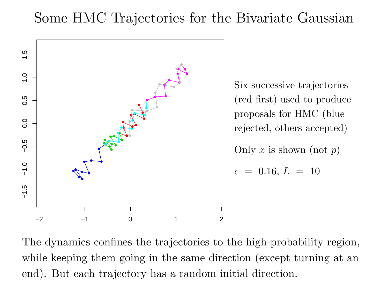### Some HMC Trajectories for the Bivariate Gaussian



The dynamics confines the trajectories to the high-probability region, while keeping them going in the same direction (except turning at an end). But each trajectory has a random initial direction.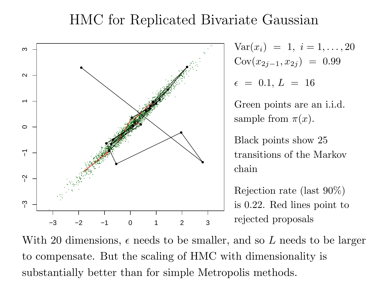### HMC for Replicated Bivariate Gaussian



$$
Var(x_i) = 1, i = 1,..., 20
$$
  
\n
$$
Cov(x_{2j-1}, x_{2j}) = 0.99
$$
  
\n
$$
\epsilon = 0.1, L = 16
$$

Green points are an i.i.d. sample from  $\pi(x)$ .

Black points show 25 transitions of the Markov chain

Rejection rate (last 90%) is 0.22. Red lines point to rejected proposals

With 20 dimensions,  $\epsilon$  needs to be smaller, and so L needs to be larger to compensate. But the scaling of HMC with dimensionality is substantially better than for simple Metropolis methods.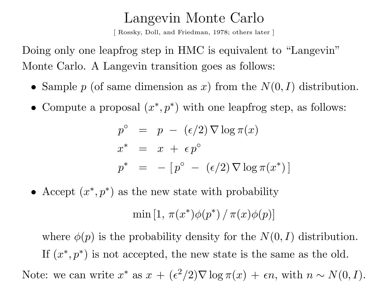#### Langevin Monte Carlo

[ Rossky, Doll, and Friedman, 1978; others later ]

Doing only one leapfrog step in HMC is equivalent to "Langevin" Monte Carlo. A Langevin transition goes as follows:

- Sample  $p$  (of same dimension as  $x$ ) from the  $N(0, I)$  distribution.
- Compute a proposal  $(x^*, p^*)$  with one leapfrog step, as follows:

$$
p^{\circ} = p - (\epsilon/2) \nabla \log \pi(x)
$$
  
\n
$$
x^* = x + \epsilon p^{\circ}
$$
  
\n
$$
p^* = -[p^{\circ} - (\epsilon/2) \nabla \log \pi(x^*)]
$$

• Accept  $(x^*, p^*)$  as the new state with probability

$$
\min[1, \pi(x^*)\phi(p^*) / \pi(x)\phi(p)]
$$

where  $\phi(p)$  is the probability density for the  $N(0,I)$  distribution. If  $(x^*, p^*)$  is not accepted, the new state is the same as the old. Note: we can write  $x^*$  as  $x + (\epsilon)$  $^{2}/2)\nabla\log\pi(x) + \epsilon n, \,\text{with}\,\, n \thicksim N(0, I).$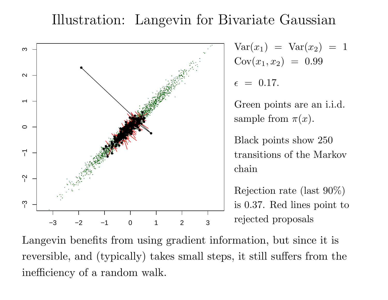### Illustration: Langevin for Bivariate Gaussian



$$
Var(x_1) = Var(x_2) = 1
$$
  
\n $Cov(x_1, x_2) = 0.99$ 

 $\epsilon = 0.17$ .

Green points are an i.i.d. sample from  $\pi(x)$ .

Black points show 250 transitions of the Markov chain

Rejection rate (last 90%) is 0.37. Red lines point to rejected proposals

Langevin benefits from using gradient information, but since it is reversible, and (typically) takes small steps, it still suffers from the inefficiency of a random walk.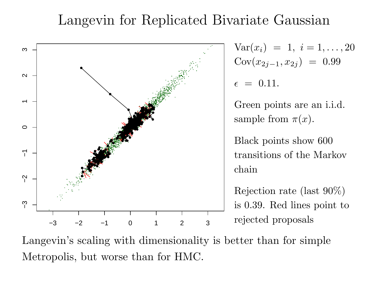#### Langevin for Replicated Bivariate Gaussian



$$
Var(x_i) = 1, i = 1,..., 20
$$
  
\n
$$
Cov(x_{2j-1}, x_{2j}) = 0.99
$$
  
\n
$$
\epsilon = 0.11.
$$

Green points are an i.i.d. sample from  $\pi(x)$ .

Black points show 600 transitions of the Markov chain

Rejection rate (last 90%) is 0.39. Red lines point to rejected proposals

Langevin's scaling with dimensionality is better than for simple Metropolis, but worse than for HMC.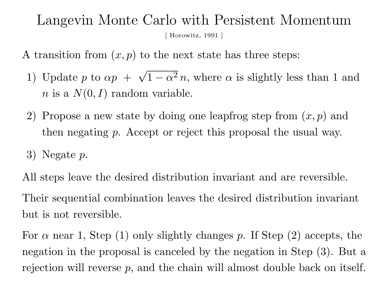#### Langevin Monte Carlo with Persistent Momentum [ Horowitz, <sup>1991</sup> ]

A transition from  $(x, p)$  to the next state has three steps:

- 1) Update p to  $\alpha p + \sqrt{1 \alpha^2} n$ , where  $\alpha$  is slightly less than 1 and  $n$  is a  $N(0, I)$  random variable.
- 2) Propose a new state by doing one leapfrog step from  $(x, p)$  and then negating p. Accept or reject this proposal the usual way.
- $3)$  Negate  $p$ .

All steps leave the desired distribution invariant and are reversible. Their sequential combination leaves the desired distribution invariant but is not reversible.

For  $\alpha$  near 1, Step (1) only slightly changes p. If Step (2) accepts, the negation in the proposa<sup>l</sup> is canceled by the negation in Step (3). But a rejection will reverse  $p$ , and the chain will almost double back on itself.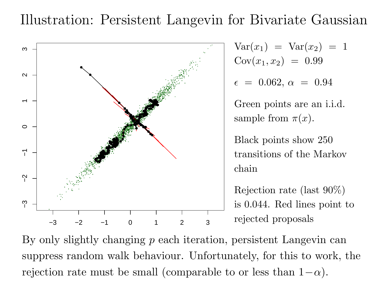### Illustration: Persistent Langevin for Bivariate Gaussian



$$
Var(x_1) = Var(x_2) = 1
$$
  
 
$$
Cov(x_1, x_2) = 0.99
$$

$$
\epsilon~=~0.062,~\alpha~=~0.94
$$

Green points are an i.i.d. sample from  $\pi(x)$ .

Black points show 250 transitions of the Markov chain

Rejection rate (last 90%) is 0.044. Red lines point to rejected proposals

By only slightly changing p each iteration, persistent Langevin can suppress random walk behaviour. Unfortunately, for this to work, the rejection rate must be small (comparable to or less than  $1-\alpha$ ).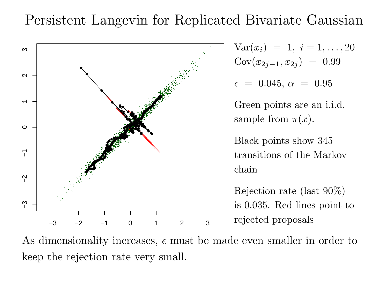### Persistent Langevin for Replicated Bivariate Gaussian



$$
Var(x_i) = 1, i = 1,..., 20
$$
  
 
$$
Cov(x_{2j-1}, x_{2j}) = 0.99
$$

$$
\epsilon~=~0.045,\,\alpha~=~0.95
$$

Green points are an i.i.d. sample from  $\pi(x)$ .

Black points show 345 transitions of the Markov chain

Rejection rate (last 90%) is 0.035. Red lines point to rejected proposals

As dimensionality increases,  $\epsilon$  must be made even smaller in order to keep the rejection rate very small.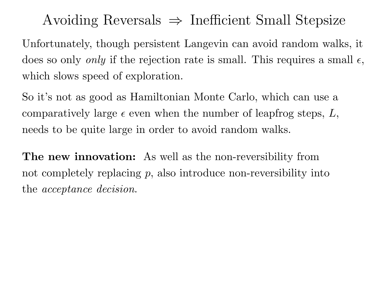Avoiding Reversals  $\Rightarrow$  Inefficient Small Stepsize

Unfortunately, though persistent Langevin can avoid random walks, it does so only *only* if the rejection rate is small. This requires a small  $\epsilon$ , which slows speed of exploration.

So it's not as good as Hamiltonian Monte Carlo, which can use a comparatively large  $\epsilon$  even when the number of leapfrog steps,  $L$ , needs to be quite large in order to avoid random walks.

The new innovation: As well as the non-reversibility from not completely replacing  $p$ , also introduce non-reversibility into the acceptance decision.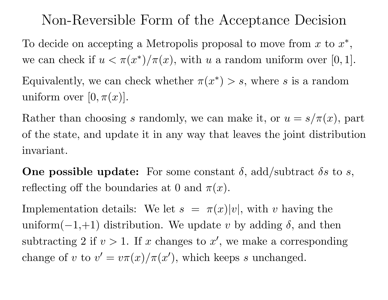### Non-Reversible Form of the Acceptance Decision

To decide on accepting a Metropolis proposal to move from x to  $x^*$ , we can check if  $u < \pi(x^*)/\pi(x)$ , with u a random uniform over [0, 1]. Equivalently, we can check whether  $\pi(x^*) > s$ , where s is a random uniform over  $[0,\pi(x)].$ 

Rather than choosing s randomly, we can make it, or  $u = s/\pi(x)$ , part of the state, and update it in any way that leaves the joint distribution invariant.

One possible update: For some constant  $\delta$ , add/subtract  $\delta s$  to  $s$ , reflecting off the boundaries at 0 and  $\pi(x)$ .

Implementation details: We let  $s = \pi(x)|v|$ , with v having the uniform $(-1,+1)$  distribution. We update v by adding  $\delta$ , and then subtracting 2 if  $v > 1$ . If x changes to x', we make a corresponding change of v to  $v' = v\pi(x)/\pi(x')$ , which keeps s unchanged.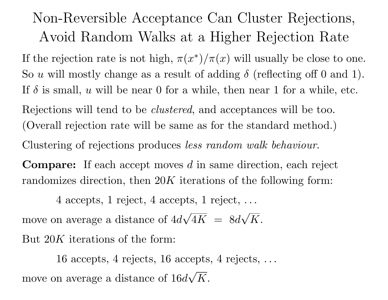# Non-Reversible Acceptance Can Cluster Rejections, Avoid Random Walks at <sup>a</sup> Higher Rejection Rate

If the rejection rate is not high,  $\pi(x^*)/\pi(x)$  will usually be close to one. So u will mostly change as a result of adding  $\delta$  (reflecting off 0 and 1). If  $\delta$  is small, u will be near 0 for a while, then near 1 for a while, etc. Rejections will tend to be *clustered*, and acceptances will be too. (Overall rejection rate will be same as for the standard method.) Clustering of rejections produces less random walk behaviour.

**Compare:** If each accept moves  $d$  in same direction, each reject randomizes direction, then 20K iterations of the following form:

4 accepts, 1 reject, 4 accepts, 1 reject, . . . move on average a distance of  $4d\sqrt{4K} = 8d\sqrt{K}$ . But 20K iterations of the form:

16 accepts, 4 rejects, 16 accepts, 4 rejects, . . . move on average a distance of  $16d\sqrt{K}$ .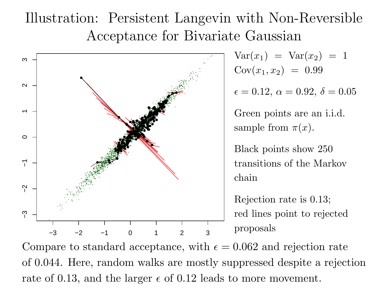# Illustration: Persistent Langevin with Non-Reversible Acceptance for Bivariate Gaussian



 $(x_1) = \text{Var}(x_2) = 1$  $\operatorname{Cov}(x_1, x_2)~=~0.99$ 

 $\epsilon=0.12,\,\alpha=0.92,\,\delta=0.05$ 

Green points are an i.i.d. sample from  $\pi(x)$ .

Black points show 250 transitions of the Markov chain

Rejection rate is 0.13; red lines point to rejected proposals

Compare to standard acceptance, with  $\epsilon = 0.062$  and rejection rate of 0.044. Here, random walks are mostly suppressed despite a rejection rate of 0.13, and the larger  $\epsilon$  of 0.12 leads to more movement.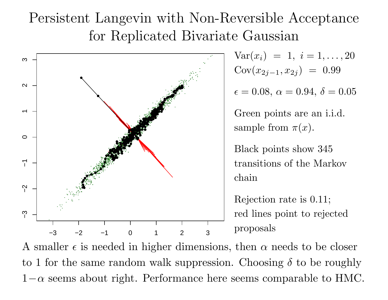# Persistent Langevin with Non-Reversible Acceptance for Replicated Bivariate Gaussian



 $Var(x_i) = 1, i = 1, \ldots, 20$  $\operatorname{Cov}(x_{2j-1}, x_{2j}) \;=\; 0.99$ 

 $\epsilon=0.08,\,\alpha=0.94,\,\delta=0.05$ 

Green points are an i.i.d. sample from  $\pi(x)$ .

Black points show 345 transitions of the Markov chain

Rejection rate is 0.11; red lines point to rejected proposals

A smaller  $\epsilon$  is needed in higher dimensions, then  $\alpha$  needs to be closer to 1 for the same random walk suppression. Choosing  $\delta$  to be roughly  $1-\alpha$  seems about right. Performance here seems comparable to HMC.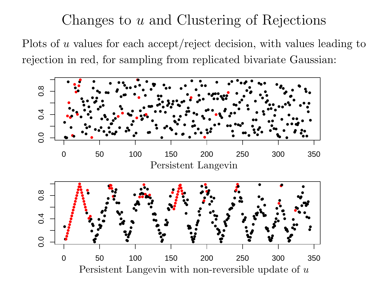### Changes to <sup>u</sup> and Clustering of Rejections

Plots of u values for each accept/reject decision, with values leading to rejection in red, for sampling from replicated bivariate Gaussian:

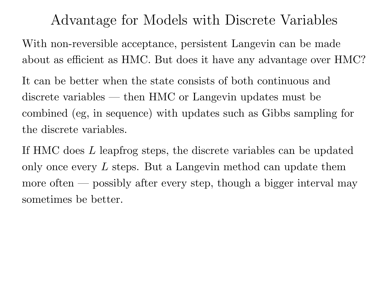Advantage for Models with Discrete Variables

With non-reversible acceptance, persistent Langevin can be made about as efficient as HMC. But does it have any advantage over HMC?

It can be better when the state consists of both continuous and discrete variables — then HMC or Langevin updates must be combined (eg, in sequence) with updates such as Gibbs sampling for the discrete variables.

If HMC does L leapfrog steps, the discrete variables can be updated only once every  $L$  steps. But a Langevin method can update them more often — possibly after every step, though a bigger interval may sometimes be better.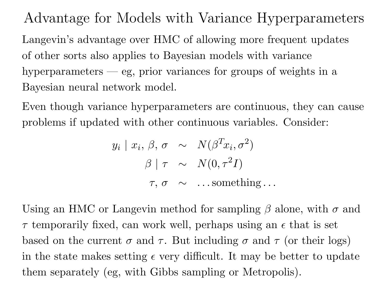Advantage for Models with Variance Hyperparameters Langevin's advantage over HMC of allowing more frequent updates of other sorts also applies to Bayesian models with variance hyperparameters — eg, prior variances for groups of weights in a Bayesian neural network model.

Even though variance hyperparameters are continuous, they can cause problems if updated with other continuous variables. Consider:

$$
y_i | x_i, \beta, \sigma \sim N(\beta^T x_i, \sigma^2)
$$

$$
\beta | \tau \sim N(0, \tau^2 I)
$$

$$
\tau, \sigma \sim \dots
$$
something...

Using an HMC or Langevin method for sampling  $\beta$  alone, with  $\sigma$  and  $\tau$  temporarily fixed, can work well, perhaps using an  $\epsilon$  that is set based on the current  $\sigma$  and  $\tau$ . But including  $\sigma$  and  $\tau$  (or their logs) in the state makes setting  $\epsilon$  very difficult. It may be better to update them separately (eg, with Gibbs sampling or Metropolis).